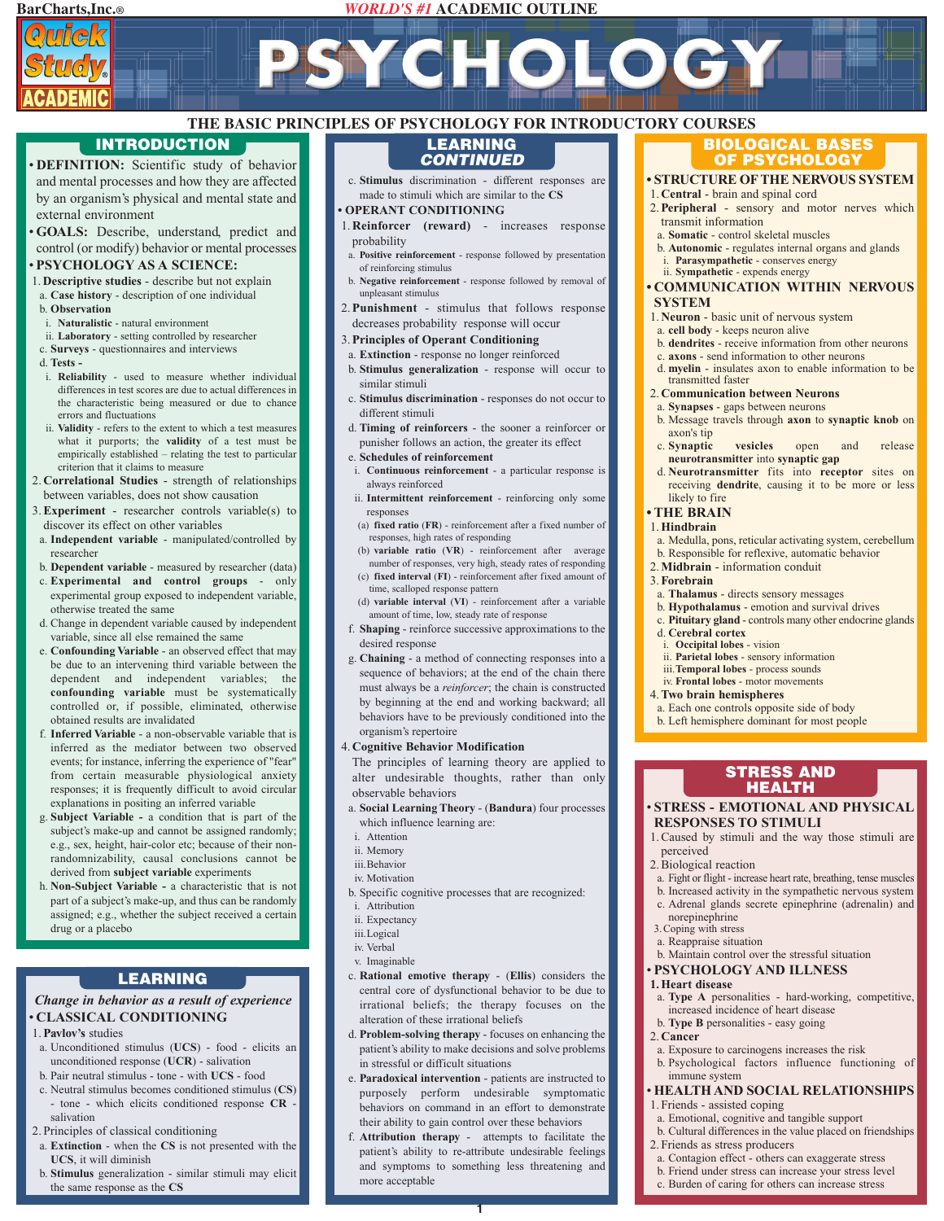# **BarCharts,Inc.®** *WORLD'S #1* **ACADEMIC OUTLINE**

PSYCHOLOG



# **THE BASIC PRINCIPLES OF PSYCHOLOGY FOR INTRODUCTORY COURSES LEARNING**

**DEFINITION:** Scientific study of behavior and mental processes and how they are affected by an organism's physical and mental state and external environment

• **GOALS:** Describe, understand, predict and control (or modify) behavior or mental processes

# • **PSYCHOLOGY AS A SCIENCE:**

- 1. **Descriptive studies** describe but not explain
- a. **Case history** description of one individual b. **Observation**
- i. **Naturalistic** natural environment
- ii. **Laboratory** setting controlled by researcher
- c. **Surveys** questionnaires and interviews
- d. **Tests**
- i. **Reliability** used to measure whether individual differences in test scores are due to actual differences in the characteristic being measured or due to chance errors and fluctuations
- ii. **Validity** refers to the extent to which a test measures what it purports; the **validity** of a test must be empirically established – relating the test to particular criterion that it claims to measure
- 2. **Correlational Studies** strength of relationships between variables, does not show causation
- 3.**Experiment** researcher controls variable(s) to discover its effect on other variables
- a. **Independent variable** manipulated/controlled by researcher
- b. **Dependent variable** measured by researcher (data)
- c. **Experimental and control groups** only experimental group exposed to independent variable, otherwise treated the same
- d. Change in dependent variable caused by independent variable, since all else remained the same
- e. **Confounding Variable** an observed effect that may be due to an intervening third variable between the dependent and independent variables; the **confounding variable** must be systematically controlled or, if possible, eliminated, otherwise obtained results are invalidated
- f. **Inferred Variable** a non-observable variable that is inferred as the mediator between two observed events; for instance, inferring the experience of "fear" from certain measurable physiological anxiety responses; it is frequently difficult to avoid circular explanations in positing an inferred variable
- g. **Subject Variable -** a condition that is part of the subject's make-up and cannot be assigned randomly; e.g., sex, height, hair-color etc; because of their nonrandomnizability, causal conclusions cannot be derived from **subject variable** experiments
- h. **Non-Subject Variable -** a characteristic that is not part of a subject's make-up, and thus can be randomly assigned; e.g., whether the subject received a certain drug or a placebo

# **LEARNING**

# *Change in behavior as a result of experience* • **CLASSICAL CONDITIONING**

- 1.**Pavlov's** studies
- a. Unconditioned stimulus (**UCS**) food elicits an unconditioned response (**UCR**) - salivation
- b. Pair neutral stimulus tone with **UCS** food
- c. Neutral stimulus becomes conditioned stimulus (**CS**) - tone - which elicits conditioned response **CR** salivation
- 2. Principles of classical conditioning
- a. **Extinction** when the **CS** is not presented with the **UCS**, it will diminish
- b. **Stimulus** generalization similar stimuli may elicit the same response as the **CS**

c. **Stimulus** discrimination - different responses are made to stimuli which are similar to the **CS** *CONTINUED*

#### **• OPERANT CONDITIONING**

- 1. **Reinforcer (reward)** increases response probability
- a. **Positive reinforcement**  response followed by presentation of reinforcing stimulus
- b. **Negative reinforcement**  response followed by removal of unpleasant stimulus
- 2.**Punishment** stimulus that follows response decreases probability response will occur

#### 3.**Principles of Operant Conditioning**

- a. **Extinction** response no longer reinforced
- b. **Stimulus generalization** response will occur to similar stimuli
- c. **Stimulus discrimination** responses do not occur to different stimuli
- d. **Timing of reinforcers** the sooner a reinforcer or punisher follows an action, the greater its effect
- e. **Schedules of reinforcement**
- i. **Continuous reinforcement** a particular response is always reinforced
- ii. **Intermittent reinforcement** reinforcing only some responses
- (a) **fixed ratio** (**FR**) reinforcement after a fixed number of responses, high rates of responding
- (b) **variable ratio** (**VR**) reinforcement after average number of responses, very high, steady rates of responding (c) **fixed interval** (**FI**) - reinforcement after fixed amount of
- time, scalloped response pattern (d) **variable interval** (**VI**) - reinforcement after a variable amount of time, low, steady rate of response
- f. **Shaping** reinforce successive approximations to the desired response
- g. **Chaining** a method of connecting responses into a sequence of behaviors; at the end of the chain there must always be a *reinforcer*; the chain is constructed by beginning at the end and working backward; all behaviors have to be previously conditioned into the organism's repertoire

#### 4. **Cognitive Behavior Modification**

The principles of learning theory are applied to alter undesirable thoughts, rather than only observable behaviors

- a. **Social Learning Theory** (**Bandura**) four processes which influence learning are:
- i. Attention
- ii. Memory
- iii.Behavior
- iv. Motivation
- b. Specific cognitive processes that are recognized:
- i. Attribution
- ii. Expectancy
- iii.Logical
- iv. Verbal
- v. Imaginable
- c. **Rational emotive therapy** (**Ellis**) considers the central core of dysfunctional behavior to be due to irrational beliefs; the therapy focuses on the alteration of these irrational beliefs
- d. **Problem-solving therapy** focuses on enhancing the patient's ability to make decisions and solve problems in stressful or difficult situations
- e. **Paradoxical intervention** patients are instructed to purposely perform undesirable symptomatic behaviors on command in an effort to demonstrate their ability to gain control over these behaviors
- f. **Attribution therapy** attempts to facilitate the patient's ability to re-attribute undesirable feelings and symptoms to something less threatening and more acceptable

**1**

# **INTRODUCTION BIOLOGICAL BASES OF PSYCHOLOGY**

#### **• STRUCTURE OF THE NERVOUS SYSTEM**

#### 1. **Central** - brain and spinal cord 2.**Peripheral** - sensory and motor nerves which

- transmit information
- a. **Somatic** control skeletal muscles
- b. **Autonomic** regulates internal organs and glands i. **Parasympathetic** - conserves energy
- ii. **Sympathetic** expends energy
- **COMMUNICATION WITHIN NERVOUS SYSTEM**

- 1. **Neuron** basic unit of nervous system a. **cell body** - keeps neuron alive
- b. **dendrites** receive information from other neurons
- c. **axons** send information to other neurons
- d. **myelin** insulates axon to enable information to be transmitted faster

#### 2. **Communication between Neurons**

- a. **Synapses** gaps between neurons
- b. Message travels through **axon** to **synaptic knob** on axon's tip<br>c Synantic
- vesicles open and release **neurotransmitter** into **synaptic gap**
- d. **Neurotransmitter** fits into **receptor** sites on receiving **dendrite**, causing it to be more or less likely to fire
- **THE BRAIN**

#### 1.**Hindbrain**

- a. Medulla, pons, reticular activating system, cerebellum
- b. Responsible for reflexive, automatic behavior
- 2.**Midbrain** information conduit
- 3.**Forebrain**

perceived 2. Biological reaction

norepinephrine 3.Coping with stress a. Reappraise situation

**1. Heart disease**

immune system

1. Friends - assisted coping

2. Friends as stress producers

2. **Cancer**

a. **Thalamus** - directs sensory messages

a. Each one controls opposite side of body b. Left hemisphere dominant for most people

- b. **Hypothalamus** emotion and survival drives
- c. **Pituitary gland** controls many other endocrine glands

• **STRESS - EMOTIONAL AND PHYSICAL**

**STRESS AND HEALTH**

1. Caused by stimuli and the way those stimuli are

a. Fight or flight - increase heart rate, breathing, tense muscles b. Increased activity in the sympathetic nervous system c. Adrenal glands secrete epinephrine (adrenalin) and

a. **Type A** personalities - hard-working, competitive,

• **HEALTH AND SOCIAL RELATIONSHIPS**

b. Maintain control over the stressful situation • **PSYCHOLOGY AND ILLNESS**

increased incidence of heart disease b. **Type B** personalities - easy going

a. Exposure to carcinogens increases the risk b. Psychological factors influence functioning of

a. Emotional, cognitive and tangible support b. Cultural differences in the value placed on friendships

a. Contagion effect - others can exaggerate stress b. Friend under stress can increase your stress level c. Burden of caring for others can increase stress

d. **Cerebral cortex**

4.**Two brain hemispheres**

i. **Occipital lobes** - vision ii. **Parietal lobes** - sensory information iii.**Temporal lobes** - process sounds iv. **Frontal lobes** - motor movements

**RESPONSES TO STIMULI**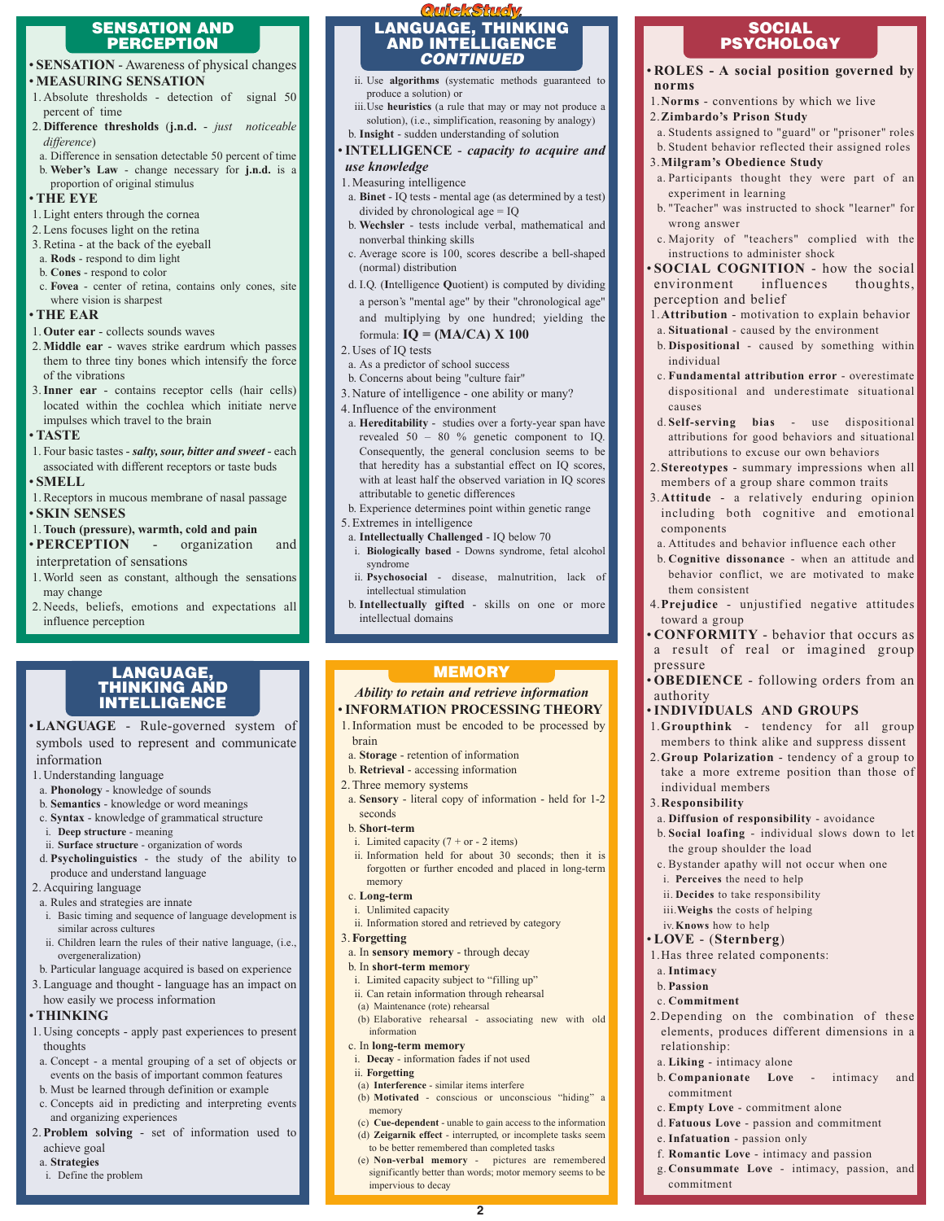### **SENSATION AND PERCEPTION**

- **SENSATION** Awareness of physical changes • **MEASURING SENSATION**
- 1. Absolute thresholds detection of signal 50 percent of time
- 2. **Difference thresholds** (**j.n.d.** *just noticeable difference*)
- a. Difference in sensation detectable 50 percent of time b. **Weber's Law** - change necessary for **j.n.d.** is a

#### proportion of original stimulus • **THE EYE**

- 1. Light enters through the cornea
- 2. Lens focuses light on the retina 3. Retina - at the back of the eyeball
- a. **Rods** respond to dim light
- b. **Cones** respond to color
- c. **Fovea** center of retina, contains only cones, site where vision is sharpest

## • **THE EAR**

#### 1.**Outer ear** - collects sounds waves

- 2.**Middle ear** waves strike eardrum which passes them to three tiny bones which intensify the force of the vibrations
- 3.**Inner ear** contains receptor cells (hair cells) located within the cochlea which initiate nerve impulses which travel to the brain

# • **TASTE**

1. Four basic tastes - *salty, sour, bitter and sweet* - each associated with different receptors or taste buds

# • **SMELL**

1. Receptors in mucous membrane of nasal passage • **SKIN SENSES**

#### 1.**Touch (pressure), warmth, cold and pain**

- **PERCEPTION** organization and interpretation of sensations
- 
- 1. World seen as constant, although the sensations may change
- 2. Needs, beliefs, emotions and expectations all influence perception

# **LANGUAGE, THINKING AND INTELLIGENCE**

- **LANGUAGE** Rule-governed system of symbols used to represent and communicate information
- 1. Understanding language
- a. **Phonology** knowledge of sounds
- b. **Semantics** knowledge or word meanings
- c. **Syntax** knowledge of grammatical structure
- i. **Deep structure** meaning
- ii. **Surface structure** organization of words d. **Psycholinguistics** - the study of the ability to
- produce and understand language

# 2. Acquiring language

- a. Rules and strategies are innate
- i. Basic timing and sequence of language development is similar across cultures
- ii. Children learn the rules of their native language, (i.e., overgeneralization)
- b. Particular language acquired is based on experience
- 3.Language and thought language has an impact on how easily we process information

# • **THINKING**

- 1. Using concepts apply past experiences to present thoughts
- a. Concept a mental grouping of a set of objects or events on the basis of important common features
- b. Must be learned through definition or example c. Concepts aid in predicting and interpreting events
- and organizing experiences
- 2.**Problem solving** set of information used to achieve goal
- a. **Strategies**
- i. Define the problem

# **QuickStudy LANGUAGE, THINKING AND INTELLIGENCE** *CONTINUED*

- ii. Use **algorithms** (systematic methods guaranteed to produce a solution) or
- iii.Use **heuristics** (a rule that may or may not produce a solution), (i.e., simplification, reasoning by analogy) b. **Insight** - sudden understanding of solution
- •**INTELLIGENCE** *capacity to acquire and use knowledge*

# 1. Measuring intelligence

- a. **Binet** IQ tests mental age (as determined by a test) divided by chronological age = IQ
- b. **Wechsler** tests include verbal, mathematical and nonverbal thinking skills
- c. Average score is 100, scores describe a bell-shaped (normal) distribution
- d. I.Q. (**I**ntelligence **Q**uotient) is computed by dividing a person's "mental age" by their "chronological age"
- and multiplying by one hundred; yielding the formula: **IQ = (MA/CA) X 100**
- 2. Uses of IQ tests
- a. As a predictor of school success
- b. Concerns about being "culture fair"
- 3. Nature of intelligence one ability or many?

#### 4. Influence of the environment

- a. **Hereditability** studies over a forty-year span have revealed 50 – 80 % genetic component to IQ. Consequently, the general conclusion seems to be that heredity has a substantial effect on IQ scores, with at least half the observed variation in IQ scores attributable to genetic differences
- b. Experience determines point within genetic range 5. Extremes in intelligence
- a. **Intellectually Challenged** IQ below 70
- i. **Biologically based** Downs syndrome, fetal alcohol syndrome
- ii. **Psychosocial** disease, malnutrition, lack of intellectual stimulation
- b. **Intellectually gifted** skills on one or more intellectual domains

# **MEMORY**

# *Ability to retain and retrieve information*

- •**INFORMATION PROCESSING THEORY** 1. Information must be encoded to be processed by
	- brain
- a. **Storage** retention of information
- b. **Retrieval** accessing information 2. Three memory systems
- a. **Sensory** literal copy of information held for 1-2 seconds
- b. **Short-term**
- i. Limited capacity  $(7 + or 2$  items)
- ii. Information held for about 30 seconds; then it is forgotten or further encoded and placed in long-term memory

# c. **Long-term**

- i. Unlimited capacity
- ii. Information stored and retrieved by category

# 3.**Forgetting**

a. In **sensory memory** - through decay

#### b. In **short-term memory**

- i. Limited capacity subject to "filling up"
- ii. Can retain information through rehearsal
- (a) Maintenance (rote) rehearsal (b) Elaborative rehearsal - associating new with old
- information
- c. In **long-term memory**
- i. **Decay** information fades if not used
- ii. **Forgetting**
- (a) **Interference** similar items interfere
- (b) **Motivated** conscious or unconscious "hiding" a memory
- (c) **Cue-dependent** unable to gain access to the information (d) **Zeigarnik effect** - interrupted, or incomplete tasks seem
- to be better remembered than completed tasks (e) **Non-verbal memory** - pictures are remembered
- significantly better than words; motor memory seems to be impervious to decay

**2**

## **SOCIAL PSYCHOLOGY**

• **ROLES - A social position governed by norms**

a. Students assigned to "guard" or "prisoner" roles b. Student behavior reflected their assigned roles

a. Participants thought they were part of an

b. "Teacher" was instructed to shock "learner" for

c. Majority of "teachers" complied with the

**SOCIAL COGNITION** - how the social environment influences thoughts,

1.**Attribution** - motivation to explain behavior a. **Situational** - caused by the environment b. **Dispositional** - caused by something within

c. **Fundamental attribution error** - overestimate dispositional and underestimate situational

d. **Self-serving bias** - use dispositional attributions for good behaviors and situational attributions to excuse our own behaviors 2.**Stereotypes** - summary impressions when all members of a group share common traits 3.**Attitude** - a relatively enduring opinion including both cognitive and emotional

a. Attitudes and behavior influence each other b. **Cognitive dissonance** - when an attitude and behavior conflict, we are motivated to make

4.**Prejudice** - unjustified negative attitudes

• **CONFORMITY** - behavior that occurs as a result of real or imagined group

• **OBEDIENCE** - following orders from an

1.**Groupthink** - tendency for all group members to think alike and suppress dissent 2.**Group Polarization** - tendency of a group to take a more extreme position than those of

•**INDIVIDUALS AND GROUPS**

a. **Diffusion of responsibility** - avoidance b. **Social loafing** - individual slows down to let

c. Bystander apathy will not occur when one

2.Depending on the combination of these elements, produces different dimensions in a

b. **Companionate Love** - intimacy and

the group shoulder the load

i. **Perceives** the need to help ii. **Decides** to take responsibility iii.**Weighs** the costs of helping iv.**Knows** how to help • **LOVE** - (**Sternberg**) 1.Has three related components:

1.**Norms** - conventions by which we live 2.**Zimbardo's Prison Study**

3.**Milgram's Obedience Study**

instructions to administer shock

experiment in learning

perception and belief

wrong answer

individual

components

them consistent

toward a group

individual members 3.**Responsibility**

pressure

authority

a. **Intimacy** b. **Passion** c. **Commitment**

relationship:

commitment

commitment

a. **Liking** - intimacy alone

e. **Infatuation** - passion only

c. **Empty Love** - commitment alone d. **Fatuous Love** - passion and commitment

f. **Romantic Love** - intimacy and passion g. **Consummate Love** - intimacy, passion, and

causes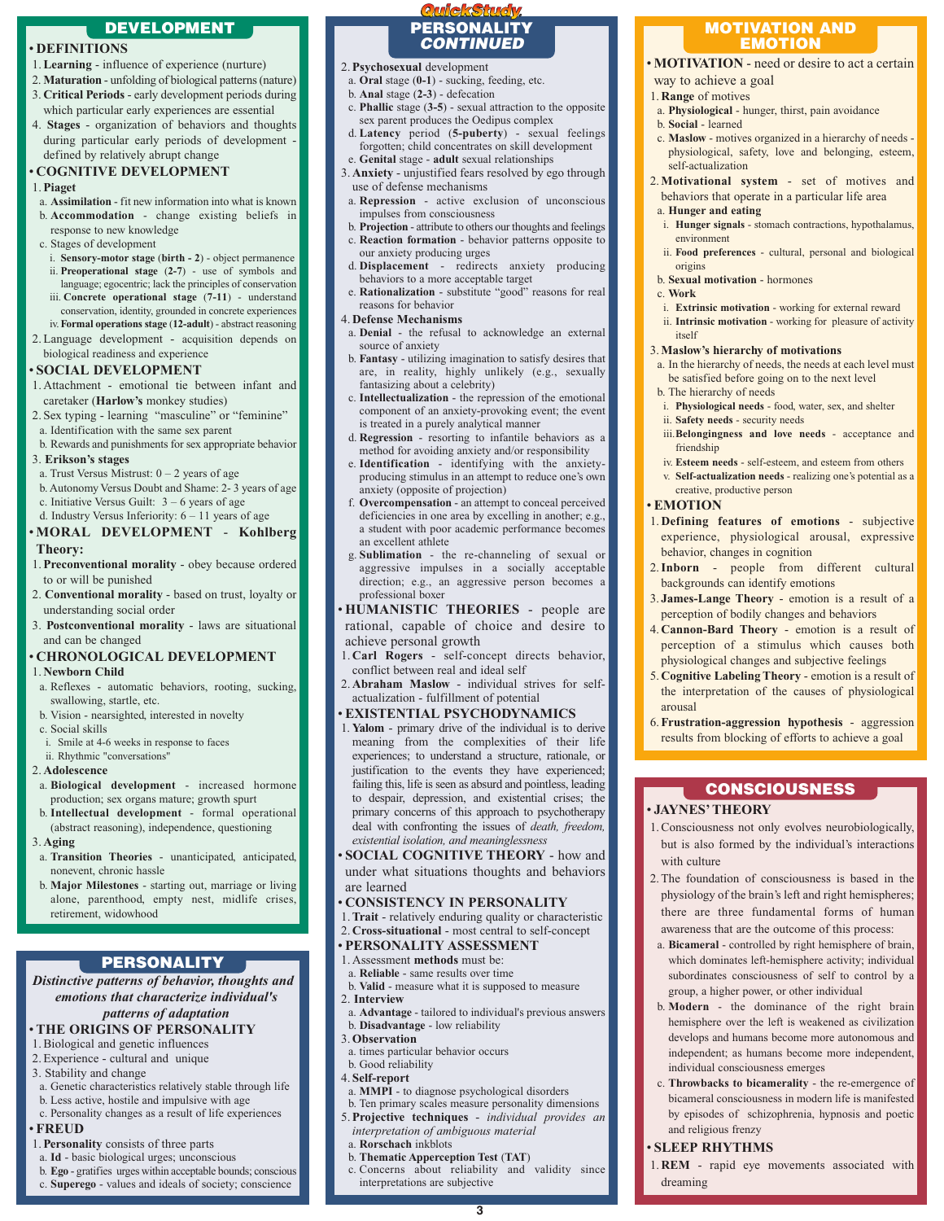# **DEVELOPMENT**

# • **DEFINITIONS**

- 1.**Learning** influence of experience (nurture)
- 2. **Maturation** unfolding of biological patterns (nature)
- 3. **Critical Periods** early development periods during which particular early experiences are essential
- 4. **Stages** organization of behaviors and thoughts during particular early periods of development defined by relatively abrupt change

#### • **COGNITIVE DEVELOPMENT**

#### 1.**Piaget**

- a. **Assimilation** fit new information into what is known
- b. **Accommodation** change existing beliefs in response to new knowledge
- c. Stages of development
- i. **Sensory-motor stage** (**birth 2**) object permanence ii. **Preoperational stage** (**2-7**) - use of symbols and language; egocentric; lack the principles of conservation
- iii. **Concrete operational stage** (**7-11**) understand conservation, identity, grounded in concrete experiences
- iv.**Formal operations stage** (**12-adult**) abstract reasoning 2. Language development - acquisition depends on
- biological readiness and experience

#### • **SOCIAL DEVELOPMENT**

- 1. Attachment emotional tie between infant and caretaker (**Harlow's** monkey studies)
- 2. Sex typing learning "masculine" or "feminine" a. Identification with the same sex parent
- b. Rewards and punishments for sex appropriate behavior
- 3. **Erikson's stages**
- a. Trust Versus Mistrust:  $0 2$  years of age
- b. Autonomy Versus Doubt and Shame: 2- 3 years of age c. Initiative Versus Guilt:  $3 - 6$  years of age
- d. Industry Versus Inferiority: 6 11 years of age

#### • **MORAL DEVELOPMENT** - **Kohlberg Theory:**

- 1.**Preconventional morality** obey because ordered to or will be punished
- 2. **Conventional morality** based on trust, loyalty or understanding social order
- 3. **Postconventional morality** laws are situational and can be changed

#### • **CHRONOLOGICAL DEVELOPMENT**

#### 1. **Newborn Child**

- a. Reflexes automatic behaviors, rooting, sucking, swallowing, startle, etc.
- b. Vision nearsighted, interested in novelty
- c. Social skills
- i. Smile at 4-6 weeks in response to faces
- ii. Rhythmic "conversations"
- 2. **Adolescence**
- a. **Biological development** increased hormone production; sex organs mature; growth spurt
- b. **Intellectual development** formal operational (abstract reasoning), independence, questioning 3. **Aging**
- a. **Transition Theories** unanticipated, anticipated, nonevent, chronic hassle
- b. **Major Milestones** starting out, marriage or living alone, parenthood, empty nest, midlife crises, retirement, widowhood

# **PERSONALITY**

#### *Distinctive patterns of behavior, thoughts and emotions that characterize individual's patterns of adaptation*

# • **THE ORIGINS OF PERSONALITY**

- 1. Biological and genetic influences
- 2. Experience cultural and unique
- 3. Stability and change
- a. Genetic characteristics relatively stable through life
- b. Less active, hostile and impulsive with age
- c. Personality changes as a result of life experiences

# • **FREUD**

- 1.**Personality** consists of three parts
- a. **Id** basic biological urges; unconscious
- b. **Ego** gratifies urges within acceptable bounds; conscious
- c. **Superego** values and ideals of society; conscience

# **QuickStudy PERSONALITY** *CONTINUED*

- 2.**Psychosexual** development
- a. **Oral** stage (**0-1**) sucking, feeding, etc.
- b. **Anal** stage (**2-3**) defecation c. **Phallic** stage (**3-5**) - sexual attraction to the opposite
- sex parent produces the Oedipus complex
- d. **Latency** period (**5-puberty**) sexual feelings forgotten; child concentrates on skill development e. **Genital** stage - **adult** sexual relationships
- 3. **Anxiety** unjustified fears resolved by ego through use of defense mechanisms
- a. **Repression** active exclusion of unconscious impulses from consciousness
- b. **Projection** attribute to others our thoughts and feelings c. **Reaction formation** - behavior patterns opposite to
- our anxiety producing urges d. **Displacement** - redirects anxiety producing
- behaviors to a more acceptable target
- e. **Rationalization** substitute "good" reasons for real reasons for behavior
- 4. **Defense Mechanisms**
- a. **Denial** the refusal to acknowledge an external source of anxiety
- b. **Fantasy** utilizing imagination to satisfy desires that are, in reality, highly unlikely (e.g., sexually fantasizing about a celebrity)
- c. **Intellectualization** the repression of the emotional component of an anxiety-provoking event; the event is treated in a purely analytical manner
- d. **Regression** resorting to infantile behaviors as a method for avoiding anxiety and/or responsibility
- e. **Identification** identifying with the anxietyproducing stimulus in an attempt to reduce one's own anxiety (opposite of projection)
- f. **Overcompensation** an attempt to conceal perceived deficiencies in one area by excelling in another; e.g., a student with poor academic performance becomes an excellent athlete
- g. **Sublimation** the re-channeling of sexual or aggressive impulses in a socially acceptable direction; e.g., an aggressive person becomes a professional boxer
- **HUMANISTIC THEORIES** people are rational, capable of choice and desire to achieve personal growth
- 1. **Carl Rogers** self-concept directs behavior, conflict between real and ideal self
- 2. **Abraham Maslow** individual strives for selfactualization - fulfillment of potential

#### • **EXISTENTIAL PSYCHODYNAMICS**

- 1. **Yalom** primary drive of the individual is to derive meaning from the complexities of their life experiences; to understand a structure, rationale, or justification to the events they have experienced; failing this, life is seen as absurd and pointless, leading to despair, depression, and existential crises; the primary concerns of this approach to psychotherapy deal with confronting the issues of *death, freedom, existential isolation, and meaninglessness*
- **SOCIAL COGNITIVE THEORY** how and under what situations thoughts and behaviors are learned

#### • **CONSISTENCY IN PERSONALITY**

- 1.**Trait** relatively enduring quality or characteristic
- 2. **Cross-situational** most central to self-concept
- **PERSONALITY ASSESSMENT**
- 1. Assessment **methods** must be: a. **Reliable** - same results over time
- 
- b. **Valid** measure what it is supposed to measure 2. **Interview**
- a. **Advantage** tailored to individual's previous answers b. **Disadvantage** - low reliability
- 3.**Observation**
- a. times particular behavior occurs
- b. Good reliability
- 4. **Self-report**
- a. **MMPI** to diagnose psychological disorders
- b. Ten primary scales measure personality dimensions
- 5.**Projective techniques** *individual provides an interpretation of ambiguous material*
- a. **Rorschach** inkblots
- b. **Thematic Apperception Test** (**TAT**)
- c. Concerns about reliability and validity since interpretations are subjective

**3**

#### **MOTIVATION AND EMOTION**

# • **MOTIVATION** - need or desire to act a certain

c. **Maslow** - motives organized in a hierarchy of needs physiological, safety, love and belonging, esteem,

2.**Motivational system** - set of motives and behaviors that operate in a particular life area

i. **Hunger signals** - stomach contractions, hypothalamus,

ii. **Food preferences** - cultural, personal and biological

i. **Extrinsic motivation** - working for external reward ii. **Intrinsic motivation** - working for pleasure of activity

a. In the hierarchy of needs, the needs at each level must be satisfied before going on to the next level

i. **Physiological needs** - food, water, sex, and shelter

iii.**Belongingness and love needs** - acceptance and

iv. **Esteem needs** - self-esteem, and esteem from others v. **Self-actualization needs** - realizing one's potential as a

1. **Defining features of emotions** - subjective experience, physiological arousal, expressive

2.**Inborn** - people from different cultural

3. **James-Lange Theory** - emotion is a result of a perception of bodily changes and behaviors 4. **Cannon-Bard Theory** - emotion is a result of perception of a stimulus which causes both physiological changes and subjective feelings 5. **Cognitive Labeling Theory** - emotion is a result of the interpretation of the causes of physiological

6.**Frustration-aggression hypothesis** - aggression results from blocking of efforts to achieve a goal

1. Consciousness not only evolves neurobiologically, but is also formed by the individual's interactions

**CONSCIOUSNESS**

2.The foundation of consciousness is based in the physiology of the brain's left and right hemispheres; there are three fundamental forms of human awareness that are the outcome of this process: a. **Bicameral** - controlled by right hemisphere of brain, which dominates left-hemisphere activity; individual subordinates consciousness of self to control by a group, a higher power, or other individual b. **Modern** - the dominance of the right brain hemisphere over the left is weakened as civilization develops and humans become more autonomous and independent; as humans become more independent,

individual consciousness emerges

and religious frenzy • **SLEEP RHYTHMS**

dreaming

c. **Throwbacks to bicamerality** - the re-emergence of bicameral consciousness in modern life is manifested by episodes of schizophrenia, hypnosis and poetic

1. **REM** - rapid eye movements associated with

a. **Physiological** - hunger, thirst, pain avoidance

way to achieve a goal 1. **Range** of motives

b. **Social** - learned

self-actualization

a. **Hunger and eating**

b. **Sexual motivation** - hormones

3.**Maslow's hierarchy of motivations**

b. The hierarchy of needs

friendship

• **EMOTION**

arousal

• **JAYNES' THEORY**

with culture

ii. **Safety needs** - security needs

creative, productive person

behavior, changes in cognition

backgrounds can identify emotions

environment

origins

itself

c. **Work**